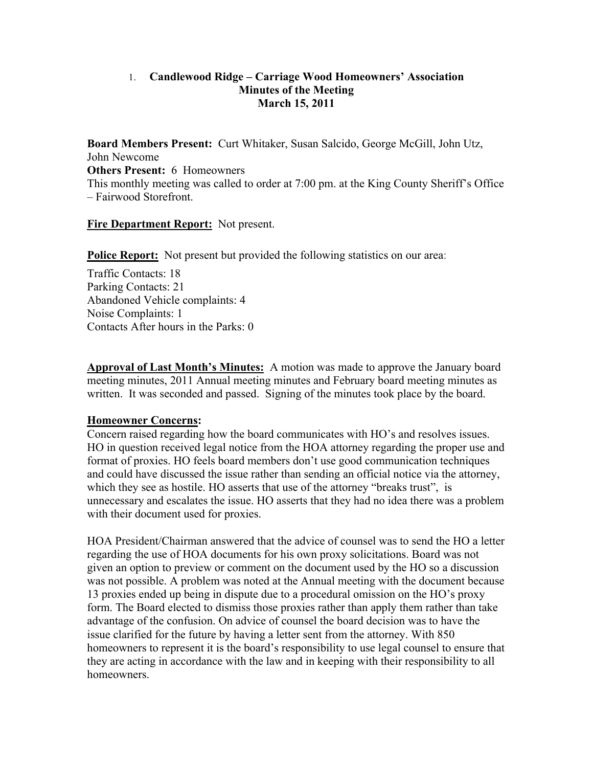### 1. **Candlewood Ridge – Carriage Wood Homeowners' Association Minutes of the Meeting March 15, 2011**

**Board Members Present:** Curt Whitaker, Susan Salcido, George McGill, John Utz, John Newcome **Others Present:** 6 Homeowners This monthly meeting was called to order at 7:00 pm. at the King County Sheriff's Office – Fairwood Storefront.

### **Fire Department Report:** Not present.

**Police Report:** Not present but provided the following statistics on our area:

Traffic Contacts: 18 Parking Contacts: 21 Abandoned Vehicle complaints: 4 Noise Complaints: 1 Contacts After hours in the Parks: 0

**Approval of Last Month's Minutes:** A motion was made to approve the January board meeting minutes, 2011 Annual meeting minutes and February board meeting minutes as written. It was seconded and passed. Signing of the minutes took place by the board.

### **Homeowner Concerns:**

Concern raised regarding how the board communicates with HO's and resolves issues. HO in question received legal notice from the HOA attorney regarding the proper use and format of proxies. HO feels board members don't use good communication techniques and could have discussed the issue rather than sending an official notice via the attorney, which they see as hostile. HO asserts that use of the attorney "breaks trust", is unnecessary and escalates the issue. HO asserts that they had no idea there was a problem with their document used for proxies.

HOA President/Chairman answered that the advice of counsel was to send the HO a letter regarding the use of HOA documents for his own proxy solicitations. Board was not given an option to preview or comment on the document used by the HO so a discussion was not possible. A problem was noted at the Annual meeting with the document because 13 proxies ended up being in dispute due to a procedural omission on the HO's proxy form. The Board elected to dismiss those proxies rather than apply them rather than take advantage of the confusion. On advice of counsel the board decision was to have the issue clarified for the future by having a letter sent from the attorney. With 850 homeowners to represent it is the board's responsibility to use legal counsel to ensure that they are acting in accordance with the law and in keeping with their responsibility to all homeowners.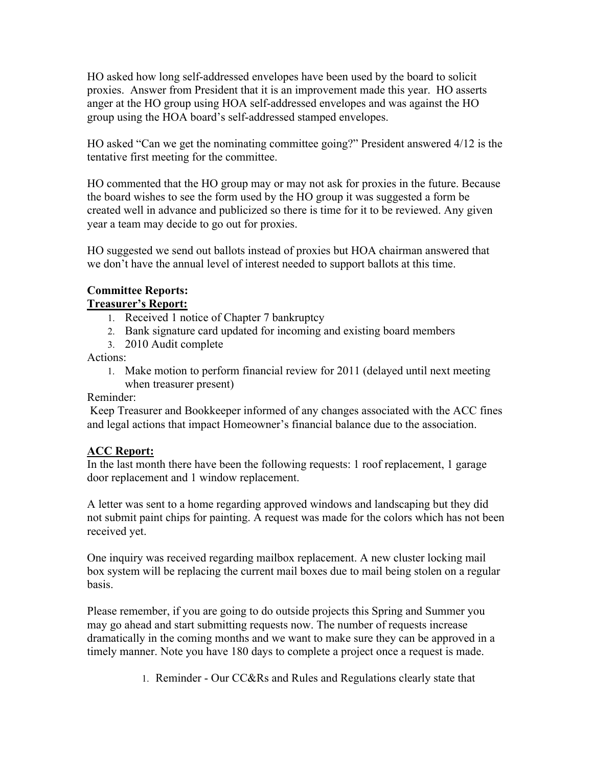HO asked how long self-addressed envelopes have been used by the board to solicit proxies. Answer from President that it is an improvement made this year. HO asserts anger at the HO group using HOA self-addressed envelopes and was against the HO group using the HOA board's self-addressed stamped envelopes.

HO asked "Can we get the nominating committee going?" President answered 4/12 is the tentative first meeting for the committee.

HO commented that the HO group may or may not ask for proxies in the future. Because the board wishes to see the form used by the HO group it was suggested a form be created well in advance and publicized so there is time for it to be reviewed. Any given year a team may decide to go out for proxies.

HO suggested we send out ballots instead of proxies but HOA chairman answered that we don't have the annual level of interest needed to support ballots at this time.

#### **Committee Reports: Treasurer's Report:**

- 1. Received 1 notice of Chapter 7 bankruptcy
- 2. Bank signature card updated for incoming and existing board members
- 3. 2010 Audit complete

Actions:

1. Make motion to perform financial review for 2011 (delayed until next meeting when treasurer present)

### Reminder:

 Keep Treasurer and Bookkeeper informed of any changes associated with the ACC fines and legal actions that impact Homeowner's financial balance due to the association.

# **ACC Report:**

In the last month there have been the following requests: 1 roof replacement, 1 garage door replacement and 1 window replacement.

A letter was sent to a home regarding approved windows and landscaping but they did not submit paint chips for painting. A request was made for the colors which has not been received yet.

One inquiry was received regarding mailbox replacement. A new cluster locking mail box system will be replacing the current mail boxes due to mail being stolen on a regular basis.

Please remember, if you are going to do outside projects this Spring and Summer you may go ahead and start submitting requests now. The number of requests increase dramatically in the coming months and we want to make sure they can be approved in a timely manner. Note you have 180 days to complete a project once a request is made.

1. Reminder - Our CC&Rs and Rules and Regulations clearly state that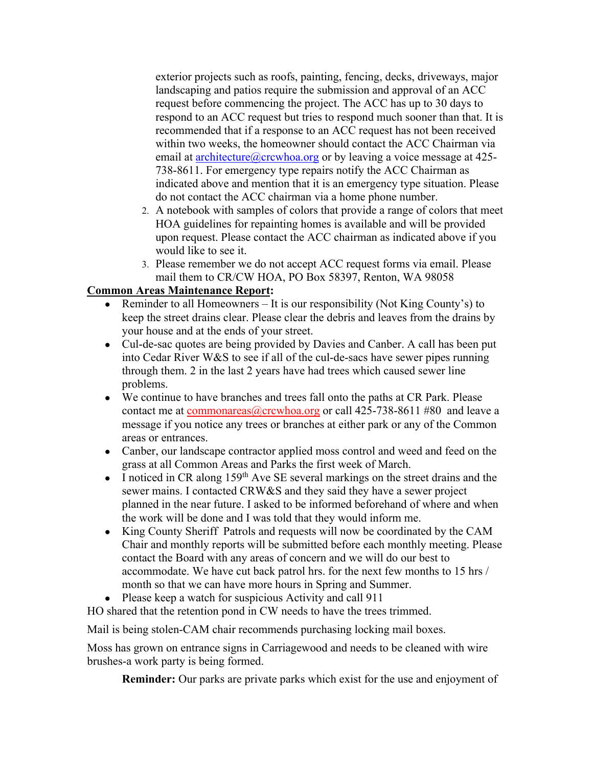exterior projects such as roofs, painting, fencing, decks, driveways, major landscaping and patios require the submission and approval of an ACC request before commencing the project. The ACC has up to 30 days to respond to an ACC request but tries to respond much sooner than that. It is recommended that if a response to an ACC request has not been received within two weeks, the homeowner should contact the ACC Chairman via email at architecture  $@$  crcwhoa.org or by leaving a voice message at 425-738-8611. For emergency type repairs notify the ACC Chairman as indicated above and mention that it is an emergency type situation. Please do not contact the ACC chairman via a home phone number.

- 2. A notebook with samples of colors that provide a range of colors that meet HOA guidelines for repainting homes is available and will be provided upon request. Please contact the ACC chairman as indicated above if you would like to see it.
- 3. Please remember we do not accept ACC request forms via email. Please mail them to CR/CW HOA, PO Box 58397, Renton, WA 98058

## **Common Areas Maintenance Report:**

- Reminder to all Homeowners It is our responsibility (Not King County's) to keep the street drains clear. Please clear the debris and leaves from the drains by your house and at the ends of your street.
- Cul-de-sac quotes are being provided by Davies and Canber. A call has been put into Cedar River W&S to see if all of the cul-de-sacs have sewer pipes running through them. 2 in the last 2 years have had trees which caused sewer line problems.
- We continue to have branches and trees fall onto the paths at CR Park. Please contact me at commonareas  $@$ crcwhoa.org or call 425-738-8611 #80 and leave a message if you notice any trees or branches at either park or any of the Common areas or entrances.
- Canber, our landscape contractor applied moss control and weed and feed on the grass at all Common Areas and Parks the first week of March.
- I noticed in CR along  $159<sup>th</sup>$  Ave SE several markings on the street drains and the sewer mains. I contacted CRW&S and they said they have a sewer project planned in the near future. I asked to be informed beforehand of where and when the work will be done and I was told that they would inform me.
- King County Sheriff Patrols and requests will now be coordinated by the CAM Chair and monthly reports will be submitted before each monthly meeting. Please contact the Board with any areas of concern and we will do our best to accommodate. We have cut back patrol hrs. for the next few months to 15 hrs / month so that we can have more hours in Spring and Summer.
- Please keep a watch for suspicious Activity and call 911

HO shared that the retention pond in CW needs to have the trees trimmed.

Mail is being stolen-CAM chair recommends purchasing locking mail boxes.

Moss has grown on entrance signs in Carriagewood and needs to be cleaned with wire brushes-a work party is being formed.

**Reminder:** Our parks are private parks which exist for the use and enjoyment of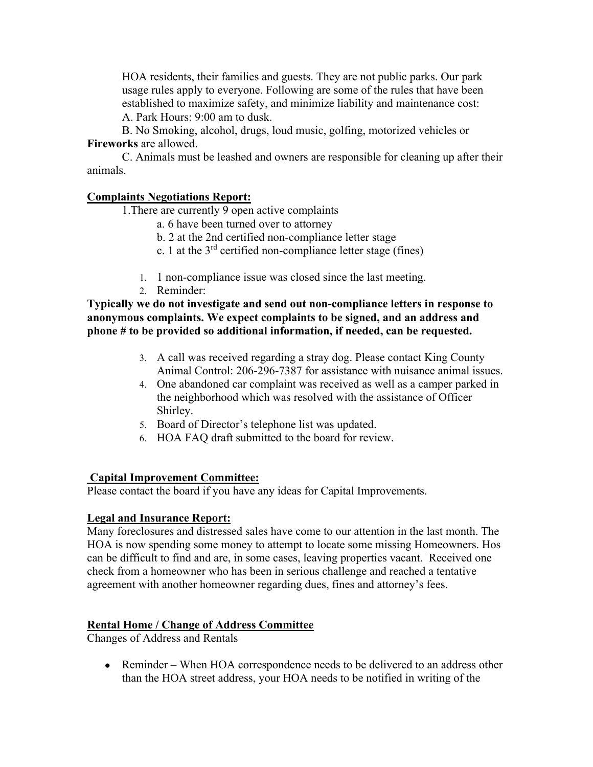HOA residents, their families and guests. They are not public parks. Our park usage rules apply to everyone. Following are some of the rules that have been established to maximize safety, and minimize liability and maintenance cost: A. Park Hours: 9:00 am to dusk.

B. No Smoking, alcohol, drugs, loud music, golfing, motorized vehicles or **Fireworks** are allowed.

C. Animals must be leashed and owners are responsible for cleaning up after their animals.

#### **Complaints Negotiations Report:**

1.There are currently 9 open active complaints

- a. 6 have been turned over to attorney
- b. 2 at the 2nd certified non-compliance letter stage
- c. 1 at the  $3<sup>rd</sup>$  certified non-compliance letter stage (fines)
- 1. 1 non-compliance issue was closed since the last meeting.
- 2. Reminder:

**Typically we do not investigate and send out non-compliance letters in response to anonymous complaints. We expect complaints to be signed, and an address and phone # to be provided so additional information, if needed, can be requested.** 

- 3. A call was received regarding a stray dog. Please contact King County Animal Control: 206-296-7387 for assistance with nuisance animal issues.
- 4. One abandoned car complaint was received as well as a camper parked in the neighborhood which was resolved with the assistance of Officer Shirley.
- 5. Board of Director's telephone list was updated.
- 6. HOA FAQ draft submitted to the board for review.

### **Capital Improvement Committee:**

Please contact the board if you have any ideas for Capital Improvements.

#### **Legal and Insurance Report:**

Many foreclosures and distressed sales have come to our attention in the last month. The HOA is now spending some money to attempt to locate some missing Homeowners. Hos can be difficult to find and are, in some cases, leaving properties vacant. Received one check from a homeowner who has been in serious challenge and reached a tentative agreement with another homeowner regarding dues, fines and attorney's fees.

### **Rental Home / Change of Address Committee**

Changes of Address and Rentals

• Reminder – When HOA correspondence needs to be delivered to an address other than the HOA street address, your HOA needs to be notified in writing of the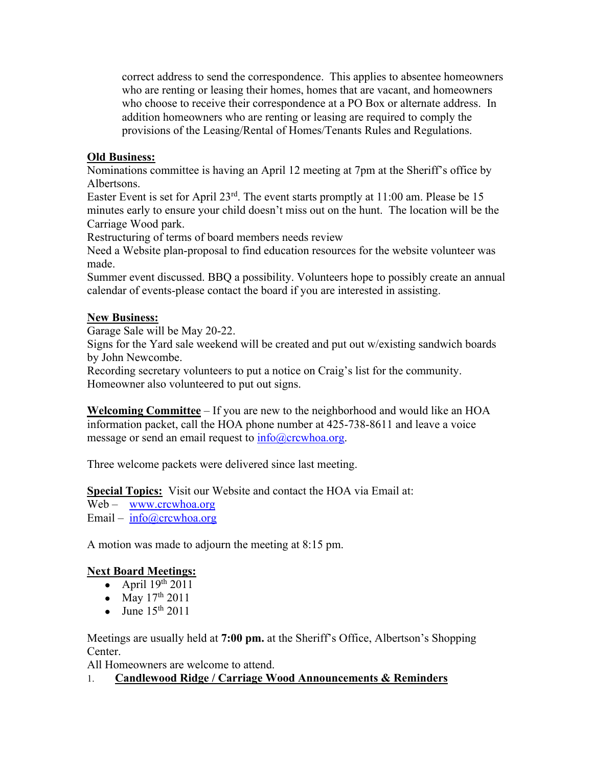correct address to send the correspondence. This applies to absentee homeowners who are renting or leasing their homes, homes that are vacant, and homeowners who choose to receive their correspondence at a PO Box or alternate address. In addition homeowners who are renting or leasing are required to comply the provisions of the Leasing/Rental of Homes/Tenants Rules and Regulations.

## **Old Business:**

Nominations committee is having an April 12 meeting at 7pm at the Sheriff's office by Albertsons.

Easter Event is set for April 23rd. The event starts promptly at 11:00 am. Please be 15 minutes early to ensure your child doesn't miss out on the hunt. The location will be the Carriage Wood park.

Restructuring of terms of board members needs review

Need a Website plan-proposal to find education resources for the website volunteer was made.

Summer event discussed. BBQ a possibility. Volunteers hope to possibly create an annual calendar of events-please contact the board if you are interested in assisting.

### **New Business:**

Garage Sale will be May 20-22.

Signs for the Yard sale weekend will be created and put out w/existing sandwich boards by John Newcombe.

Recording secretary volunteers to put a notice on Craig's list for the community. Homeowner also volunteered to put out signs.

**Welcoming Committee** – If you are new to the neighborhood and would like an HOA information packet, call the HOA phone number at 425-738-8611 and leave a voice message or send an email request to  $info@crcwhoa.org$ .

Three welcome packets were delivered since last meeting.

**Special Topics:** Visit our Website and contact the HOA via Email at:

Web – www.crcwhoa.org

Email –  $info@crcwhoa.org$ 

A motion was made to adjourn the meeting at 8:15 pm.

# **Next Board Meetings:**

- April  $19^{th}$  2011
- May  $17^{th}$  2011
- June  $15<sup>th</sup>$  2011

Meetings are usually held at **7:00 pm.** at the Sheriff's Office, Albertson's Shopping Center.

All Homeowners are welcome to attend.

# 1. **Candlewood Ridge / Carriage Wood Announcements & Reminders**